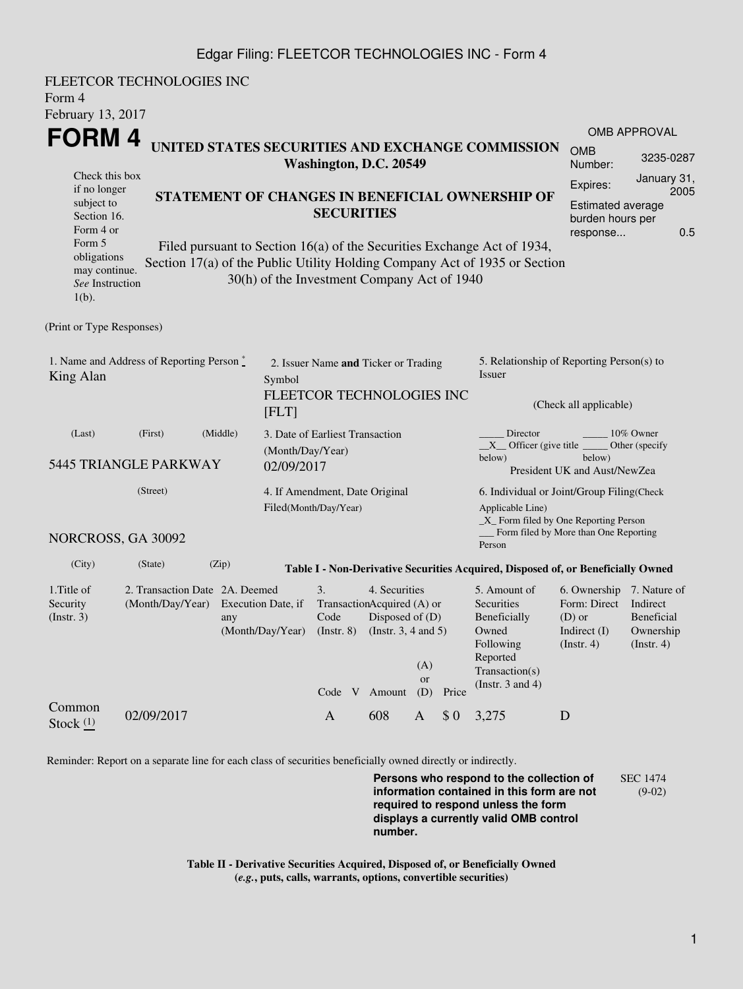## Edgar Filing: FLEETCOR TECHNOLOGIES INC - Form 4

FLEETCOR TECHNOLOGIES INC Form 4 February 13, 2017 **FORM 4** Check this box if no longer subject to Section 16. Form 4 or Form 5 obligations may continue. *See* Instruction 1(b). **UNITED STATES SECURITIES AND EXCHANGE COMMISSION Washington, D.C. 20549 STATEMENT OF CHANGES IN BENEFICIAL OWNERSHIP OF SECURITIES** Filed pursuant to Section 16(a) of the Securities Exchange Act of 1934, Section 17(a) of the Public Utility Holding Company Act of 1935 or Section 30(h) of the Investment Company Act of 1940 OMB APPROVAL OMB Number: 3235-0287 Expires: January 31, 2005 Estimated average burden hours per response... 0.5 (Print or Type Responses) 1. Name and Address of Reporting Person  $\degree$ King Alan 2. Issuer Name **and** Ticker or Trading Symbol FLEETCOR TECHNOLOGIES INC [FLT] 5. Relationship of Reporting Person(s) to Issuer (Check all applicable) Director \_\_\_\_\_\_\_\_ 10% Owner  $X$  Officer (give title below) Other (specify below) President UK and Aust/NewZea (Last) (First) (Middle) 5445 TRIANGLE PARKWAY 3. Date of Earliest Transaction (Month/Day/Year) 02/09/2017 (Street) NORCROSS, GA 30092 4. If Amendment, Date Original Filed(Month/Day/Year) 6. Individual or Joint/Group Filing(Check Applicable Line) \_X\_ Form filed by One Reporting Person Form filed by More than One Reporting Person (City) (State) (Zip) **Table I - Non-Derivative Securities Acquired, Disposed of, or Beneficially Owned** 1.Title of Security (Instr. 3) 2. Transaction Date 2A. Deemed (Month/Day/Year) Execution Date, if any (Month/Day/Year) 3. Transaction Acquired (A) or Code (Instr. 8) 4. Securities Disposed of (D) (Instr. 3, 4 and 5) 5. Amount of **Securities** Beneficially Owned Following Reported Transaction(s) (Instr. 3 and 4) 6. Ownership 7. Nature of Form: Direct (D) or Indirect (I) (Instr. 4) Indirect Beneficial Ownership (Instr. 4) Code V Amount  $(A)$ or (D) Price Common Stock  $\frac{(1)}{2}$  02/09/2017 A 608 A \$ 0 3,275 D

Reminder: Report on a separate line for each class of securities beneficially owned directly or indirectly.

**Persons who respond to the collection of information contained in this form are not required to respond unless the form displays a currently valid OMB control number.** SEC 1474 (9-02)

**Table II - Derivative Securities Acquired, Disposed of, or Beneficially Owned (***e.g.***, puts, calls, warrants, options, convertible securities)**